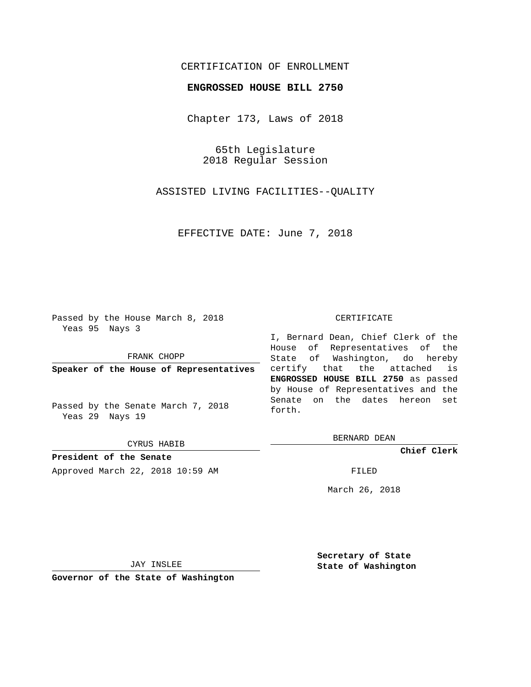## CERTIFICATION OF ENROLLMENT

## **ENGROSSED HOUSE BILL 2750**

Chapter 173, Laws of 2018

65th Legislature 2018 Regular Session

ASSISTED LIVING FACILITIES--QUALITY

EFFECTIVE DATE: June 7, 2018

Passed by the House March 8, 2018 Yeas 95 Nays 3

FRANK CHOPP

**Speaker of the House of Representatives**

Passed by the Senate March 7, 2018 Yeas 29 Nays 19

CYRUS HABIB

**President of the Senate** Approved March 22, 2018 10:59 AM FILED

#### CERTIFICATE

I, Bernard Dean, Chief Clerk of the House of Representatives of the State of Washington, do hereby certify that the attached is **ENGROSSED HOUSE BILL 2750** as passed by House of Representatives and the Senate on the dates hereon set forth.

BERNARD DEAN

**Chief Clerk**

March 26, 2018

JAY INSLEE

**Governor of the State of Washington**

**Secretary of State State of Washington**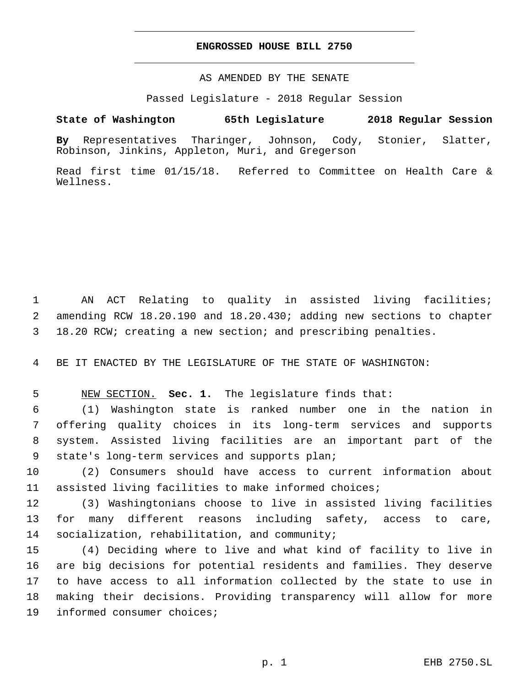### **ENGROSSED HOUSE BILL 2750**

AS AMENDED BY THE SENATE

Passed Legislature - 2018 Regular Session

# **State of Washington 65th Legislature 2018 Regular Session**

**By** Representatives Tharinger, Johnson, Cody, Stonier, Slatter, Robinson, Jinkins, Appleton, Muri, and Gregerson

Read first time 01/15/18. Referred to Committee on Health Care & Wellness.

1 AN ACT Relating to quality in assisted living facilities; 2 amending RCW 18.20.190 and 18.20.430; adding new sections to chapter 3 18.20 RCW; creating a new section; and prescribing penalties.

4 BE IT ENACTED BY THE LEGISLATURE OF THE STATE OF WASHINGTON:

5 NEW SECTION. **Sec. 1.** The legislature finds that:

 (1) Washington state is ranked number one in the nation in offering quality choices in its long-term services and supports system. Assisted living facilities are an important part of the 9 state's long-term services and supports plan;

10 (2) Consumers should have access to current information about 11 assisted living facilities to make informed choices;

12 (3) Washingtonians choose to live in assisted living facilities 13 for many different reasons including safety, access to care, 14 socialization, rehabilitation, and community;

 (4) Deciding where to live and what kind of facility to live in are big decisions for potential residents and families. They deserve to have access to all information collected by the state to use in making their decisions. Providing transparency will allow for more 19 informed consumer choices;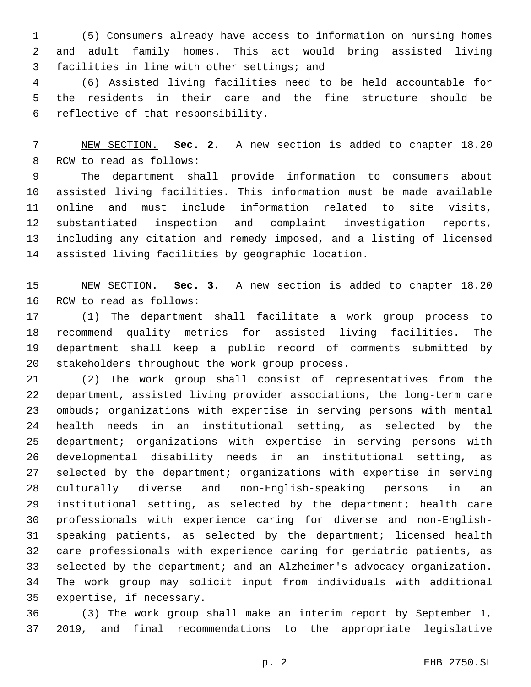(5) Consumers already have access to information on nursing homes and adult family homes. This act would bring assisted living 3 facilities in line with other settings; and

 (6) Assisted living facilities need to be held accountable for the residents in their care and the fine structure should be 6 reflective of that responsibility.

 NEW SECTION. **Sec. 2.** A new section is added to chapter 18.20 8 RCW to read as follows:

 The department shall provide information to consumers about assisted living facilities. This information must be made available online and must include information related to site visits, substantiated inspection and complaint investigation reports, including any citation and remedy imposed, and a listing of licensed assisted living facilities by geographic location.

 NEW SECTION. **Sec. 3.** A new section is added to chapter 18.20 16 RCW to read as follows:

 (1) The department shall facilitate a work group process to recommend quality metrics for assisted living facilities. The department shall keep a public record of comments submitted by 20 stakeholders throughout the work group process.

 (2) The work group shall consist of representatives from the department, assisted living provider associations, the long-term care ombuds; organizations with expertise in serving persons with mental health needs in an institutional setting, as selected by the department; organizations with expertise in serving persons with developmental disability needs in an institutional setting, as selected by the department; organizations with expertise in serving culturally diverse and non-English-speaking persons in an institutional setting, as selected by the department; health care professionals with experience caring for diverse and non-English- speaking patients, as selected by the department; licensed health care professionals with experience caring for geriatric patients, as selected by the department; and an Alzheimer's advocacy organization. The work group may solicit input from individuals with additional 35 expertise, if necessary.

 (3) The work group shall make an interim report by September 1, 2019, and final recommendations to the appropriate legislative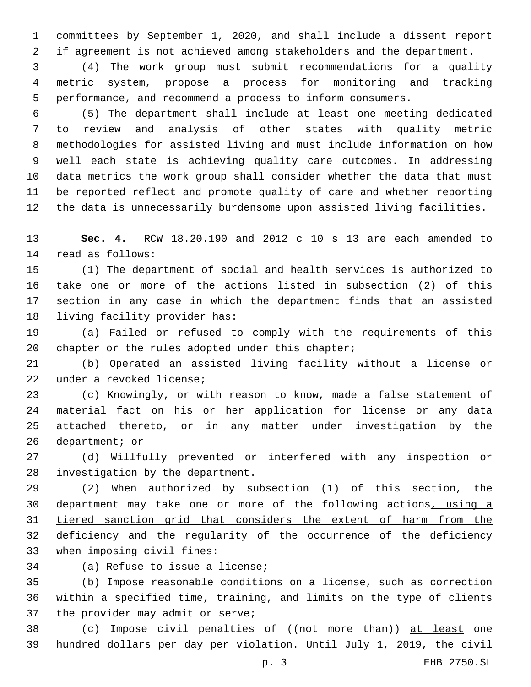committees by September 1, 2020, and shall include a dissent report if agreement is not achieved among stakeholders and the department.

 (4) The work group must submit recommendations for a quality metric system, propose a process for monitoring and tracking performance, and recommend a process to inform consumers.

 (5) The department shall include at least one meeting dedicated to review and analysis of other states with quality metric methodologies for assisted living and must include information on how well each state is achieving quality care outcomes. In addressing data metrics the work group shall consider whether the data that must be reported reflect and promote quality of care and whether reporting the data is unnecessarily burdensome upon assisted living facilities.

 **Sec. 4.** RCW 18.20.190 and 2012 c 10 s 13 are each amended to 14 read as follows:

 (1) The department of social and health services is authorized to take one or more of the actions listed in subsection (2) of this section in any case in which the department finds that an assisted 18 living facility provider has:

 (a) Failed or refused to comply with the requirements of this 20 chapter or the rules adopted under this chapter;

 (b) Operated an assisted living facility without a license or 22 under a revoked license;

 (c) Knowingly, or with reason to know, made a false statement of material fact on his or her application for license or any data attached thereto, or in any matter under investigation by the 26 department; or

 (d) Willfully prevented or interfered with any inspection or 28 investigation by the department.

 (2) When authorized by subsection (1) of this section, the department may take one or more of the following actions, using a tiered sanction grid that considers the extent of harm from the 32 deficiency and the regularity of the occurrence of the deficiency 33 when imposing civil fines:

34 (a) Refuse to issue a license;

 (b) Impose reasonable conditions on a license, such as correction within a specified time, training, and limits on the type of clients 37 the provider may admit or serve;

 (c) Impose civil penalties of ((not more than)) at least one hundred dollars per day per violation. Until July 1, 2019, the civil

p. 3 EHB 2750.SL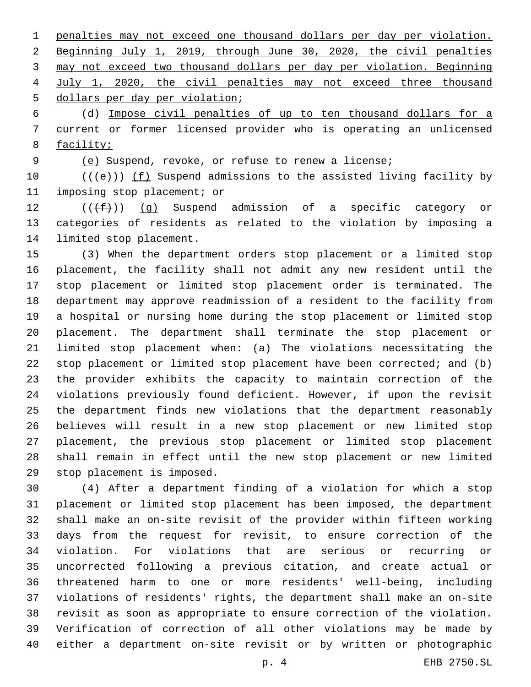penalties may not exceed one thousand dollars per day per violation. Beginning July 1, 2019, through June 30, 2020, the civil penalties may not exceed two thousand dollars per day per violation. Beginning July 1, 2020, the civil penalties may not exceed three thousand 5 dollars per day per violation;

 (d) Impose civil penalties of up to ten thousand dollars for a current or former licensed provider who is operating an unlicensed facility;

(e) Suspend, revoke, or refuse to renew a license;

10  $((+e))$   $(f)$  Suspend admissions to the assisted living facility by 11 imposing stop placement; or

12  $((\text{+f}))()(g)$  Suspend admission of a specific category or categories of residents as related to the violation by imposing a 14 limited stop placement.

 (3) When the department orders stop placement or a limited stop placement, the facility shall not admit any new resident until the stop placement or limited stop placement order is terminated. The department may approve readmission of a resident to the facility from a hospital or nursing home during the stop placement or limited stop placement. The department shall terminate the stop placement or limited stop placement when: (a) The violations necessitating the stop placement or limited stop placement have been corrected; and (b) the provider exhibits the capacity to maintain correction of the violations previously found deficient. However, if upon the revisit the department finds new violations that the department reasonably believes will result in a new stop placement or new limited stop placement, the previous stop placement or limited stop placement shall remain in effect until the new stop placement or new limited 29 stop placement is imposed.

 (4) After a department finding of a violation for which a stop placement or limited stop placement has been imposed, the department shall make an on-site revisit of the provider within fifteen working days from the request for revisit, to ensure correction of the violation. For violations that are serious or recurring or uncorrected following a previous citation, and create actual or threatened harm to one or more residents' well-being, including violations of residents' rights, the department shall make an on-site revisit as soon as appropriate to ensure correction of the violation. Verification of correction of all other violations may be made by either a department on-site revisit or by written or photographic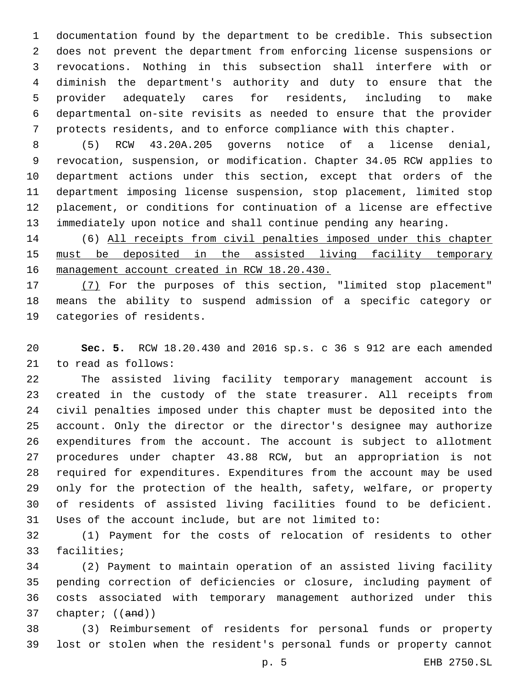documentation found by the department to be credible. This subsection does not prevent the department from enforcing license suspensions or revocations. Nothing in this subsection shall interfere with or diminish the department's authority and duty to ensure that the provider adequately cares for residents, including to make departmental on-site revisits as needed to ensure that the provider protects residents, and to enforce compliance with this chapter.

 (5) RCW 43.20A.205 governs notice of a license denial, revocation, suspension, or modification. Chapter 34.05 RCW applies to department actions under this section, except that orders of the department imposing license suspension, stop placement, limited stop placement, or conditions for continuation of a license are effective immediately upon notice and shall continue pending any hearing.

 (6) All receipts from civil penalties imposed under this chapter 15 must be deposited in the assisted living facility temporary management account created in RCW 18.20.430.

 (7) For the purposes of this section, "limited stop placement" means the ability to suspend admission of a specific category or 19 categories of residents.

 **Sec. 5.** RCW 18.20.430 and 2016 sp.s. c 36 s 912 are each amended 21 to read as follows:

 The assisted living facility temporary management account is created in the custody of the state treasurer. All receipts from civil penalties imposed under this chapter must be deposited into the account. Only the director or the director's designee may authorize expenditures from the account. The account is subject to allotment procedures under chapter 43.88 RCW, but an appropriation is not required for expenditures. Expenditures from the account may be used only for the protection of the health, safety, welfare, or property of residents of assisted living facilities found to be deficient. Uses of the account include, but are not limited to:

 (1) Payment for the costs of relocation of residents to other 33 facilities;

 (2) Payment to maintain operation of an assisted living facility pending correction of deficiencies or closure, including payment of costs associated with temporary management authorized under this chapter; ((and))

 (3) Reimbursement of residents for personal funds or property lost or stolen when the resident's personal funds or property cannot